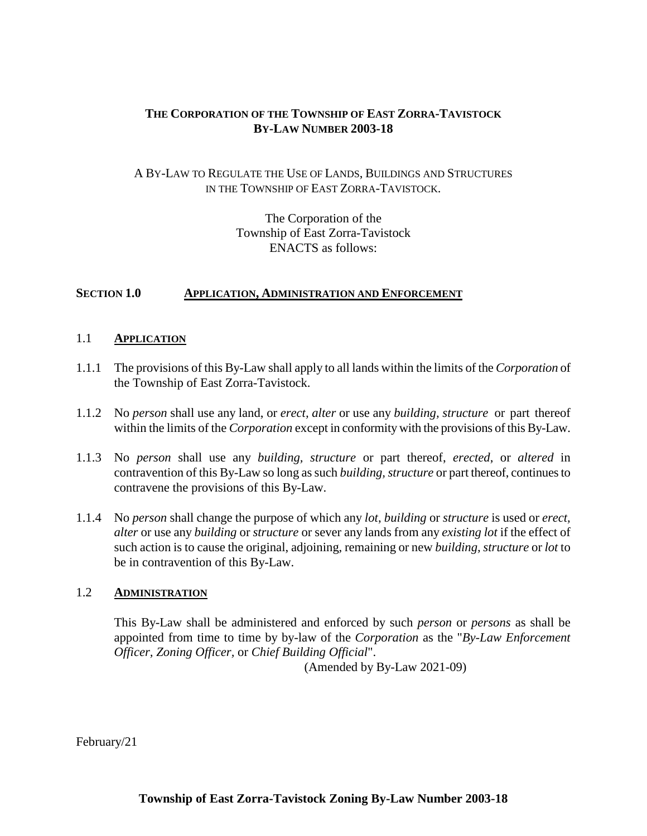# **THE CORPORATION OF THE TOWNSHIP OF EAST ZORRA-TAVISTOCK BY-LAW NUMBER 2003-18**

### A BY-LAW TO REGULATE THE USE OF LANDS, BUILDINGS AND STRUCTURES IN THE TOWNSHIP OF EAST ZORRA-TAVISTOCK.

The Corporation of the Township of East Zorra-Tavistock ENACTS as follows:

#### **SECTION 1.0 APPLICATION, ADMINISTRATION AND ENFORCEMENT**

### 1.1 **APPLICATION**

- 1.1.1 The provisions of this By-Law shall apply to all lands within the limits of the *Corporation* of the Township of East Zorra-Tavistock.
- 1.1.2 No *person* shall use any land, or *erect, alter* or use any *building, structure* or part thereof within the limits of the *Corporation* except in conformity with the provisions of this By-Law.
- 1.1.3 No *person* shall use any *building, structure* or part thereof, *erected*, or *altered* in contravention of this By-Law so long as such *building, structure* or part thereof, continues to contravene the provisions of this By-Law.
- 1.1.4 No *person* shall change the purpose of which any *lot*, *building* or *structure* is used or *erect, alter* or use any *building* or *structure* or sever any lands from any *existing lot* if the effect of such action is to cause the original, adjoining, remaining or new *building, structure* or *lot* to be in contravention of this By-Law.

### 1.2 **ADMINISTRATION**

This By-Law shall be administered and enforced by such *person* or *persons* as shall be appointed from time to time by by-law of the *Corporation* as the "*By-Law Enforcement Officer, Zoning Officer,* or *Chief Building Official*".

(Amended by By-Law 2021-09)

February/21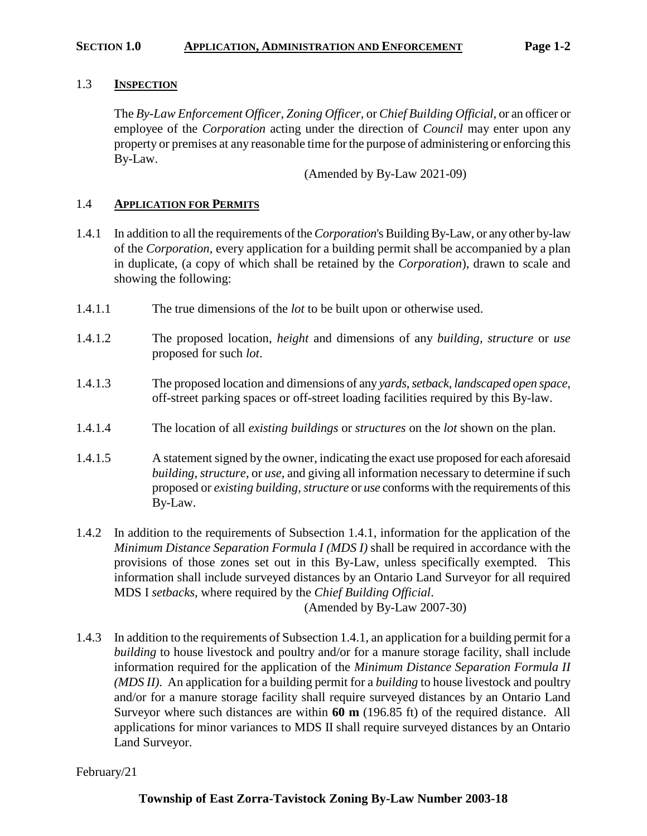#### **SECTION 1.0 APPLICATION, ADMINISTRATION AND ENFORCEMENT Page 1-2**

### 1.3 **INSPECTION**

The *By-Law Enforcement Officer, Zoning Officer,* or *Chief Building Official*, or an officer or employee of the *Corporation* acting under the direction of *Council* may enter upon any property or premises at any reasonable time for the purpose of administering or enforcing this By-Law.

(Amended by By-Law 2021-09)

### 1.4 **APPLICATION FOR PERMITS**

- 1.4.1 In addition to all the requirements of the *Corporation*'s Building By-Law, or any other by-law of the *Corporation*, every application for a building permit shall be accompanied by a plan in duplicate, (a copy of which shall be retained by the *Corporation*), drawn to scale and showing the following:
- 1.4.1.1 The true dimensions of the *lot* to be built upon or otherwise used.
- 1.4.1.2 The proposed location, *height* and dimensions of any *building, structure* or *use* proposed for such *lot*.
- 1.4.1.3 The proposed location and dimensions of any *yards*, *setback*, *landscaped open space*, off-street parking spaces or off-street loading facilities required by this By-law.
- 1.4.1.4 The location of all *existing buildings* or *structures* on the *lot* shown on the plan.
- 1.4.1.5 A statement signed by the owner, indicating the exact use proposed for each aforesaid *building, structure*, or *use*, and giving all information necessary to determine if such proposed or *existing building, structure* or *use* conforms with the requirements of this By-Law.
- 1.4.2 In addition to the requirements of Subsection 1.4.1, information for the application of the *Minimum Distance Separation Formula I (MDS I)* shall be required in accordance with the provisions of those zones set out in this By-Law, unless specifically exempted. This information shall include surveyed distances by an Ontario Land Surveyor for all required MDS I *setbacks*, where required by the *Chief Building Official*.

(Amended by By-Law 2007-30)

1.4.3 In addition to the requirements of Subsection 1.4.1, an application for a building permit for a *building* to house livestock and poultry and/or for a manure storage facility, shall include information required for the application of the *Minimum Distance Separation Formula II (MDS II)*. An application for a building permit for a *building* to house livestock and poultry and/or for a manure storage facility shall require surveyed distances by an Ontario Land Surveyor where such distances are within **60 m** (196.85 ft) of the required distance. All applications for minor variances to MDS II shall require surveyed distances by an Ontario Land Surveyor.

February/21